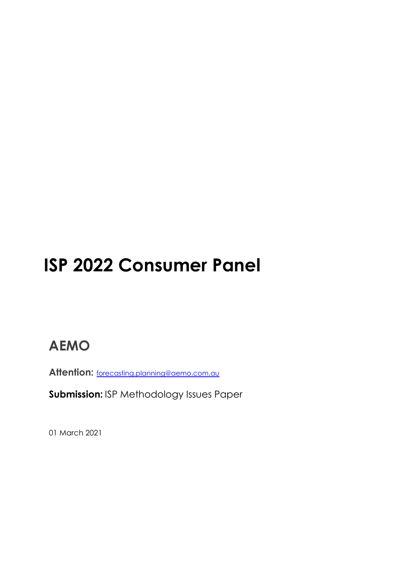# **ISP 2022 Consumer Panel**

## **AEMO**

**Attention:** [forecasting.planning@aemo.com.au](mailto:forecasting.planning@aemo.com.au)

**Submission:** ISP Methodology Issues Paper

01 March 2021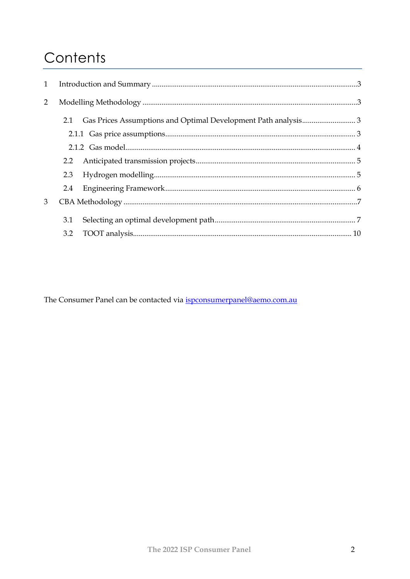## Contents

| $\mathbf{1}$ |     |  |  |
|--------------|-----|--|--|
| 2            |     |  |  |
|              |     |  |  |
|              |     |  |  |
|              |     |  |  |
|              |     |  |  |
|              | 2.3 |  |  |
|              | 2.4 |  |  |
| 3            |     |  |  |
|              | 3.1 |  |  |
|              | 3.2 |  |  |

The Consumer Panel can be contacted via ispconsumerpanel@aemo.com.au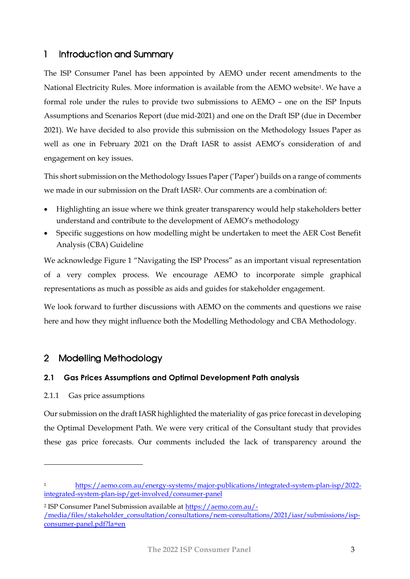## <span id="page-2-0"></span>1 Introduction and Summary

The ISP Consumer Panel has been appointed by AEMO under recent amendments to the National Electricity Rules. More information is available from the AEMO website1. We have a formal role under the rules to provide two submissions to AEMO – one on the ISP Inputs Assumptions and Scenarios Report (due mid-2021) and one on the Draft ISP (due in December 2021). We have decided to also provide this submission on the Methodology Issues Paper as well as one in February 2021 on the Draft IASR to assist AEMO's consideration of and engagement on key issues.

This short submission on the Methodology Issues Paper ('Paper') builds on a range of comments we made in our submission on the Draft IASR2. Our comments are a combination of:

- Highlighting an issue where we think greater transparency would help stakeholders better understand and contribute to the development of AEMO's methodology
- Specific suggestions on how modelling might be undertaken to meet the AER Cost Benefit Analysis (CBA) Guideline

We acknowledge Figure 1 "Navigating the ISP Process" as an important visual representation of a very complex process. We encourage AEMO to incorporate simple graphical representations as much as possible as aids and guides for stakeholder engagement.

We look forward to further discussions with AEMO on the comments and questions we raise here and how they might influence both the Modelling Methodology and CBA Methodology.

## <span id="page-2-1"></span>2 Modelling Methodology

#### <span id="page-2-2"></span>**2.1 Gas Prices Assumptions and Optimal Development Path analysis**

#### <span id="page-2-3"></span>2.1.1 Gas price assumptions

Our submission on the draft IASR highlighted the materiality of gas price forecast in developing the Optimal Development Path. We were very critical of the Consultant study that provides these gas price forecasts. Our comments included the lack of transparency around the

<sup>1</sup> [https://aemo.com.au/energy-systems/major-publications/integrated-system-plan-isp/2022](https://aemo.com.au/energy-systems/major-publications/integrated-system-plan-isp/2022-integrated-system-plan-isp/get-involved/consumer-panel) [integrated-system-plan-isp/get-involved/consumer-panel](https://aemo.com.au/energy-systems/major-publications/integrated-system-plan-isp/2022-integrated-system-plan-isp/get-involved/consumer-panel)

<sup>&</sup>lt;sup>2</sup> ISP Consumer Panel Submission available at <u>https://aemo.com.au/-</u> [/media/files/stakeholder\\_consultation/consultations/nem-consultations/2021/iasr/submissions/isp](https://aemo.com.au/-/media/files/stakeholder_consultation/consultations/nem-consultations/2021/iasr/submissions/isp-consumer-panel.pdf?la=en)[consumer-panel.pdf?la=en](https://aemo.com.au/-/media/files/stakeholder_consultation/consultations/nem-consultations/2021/iasr/submissions/isp-consumer-panel.pdf?la=en)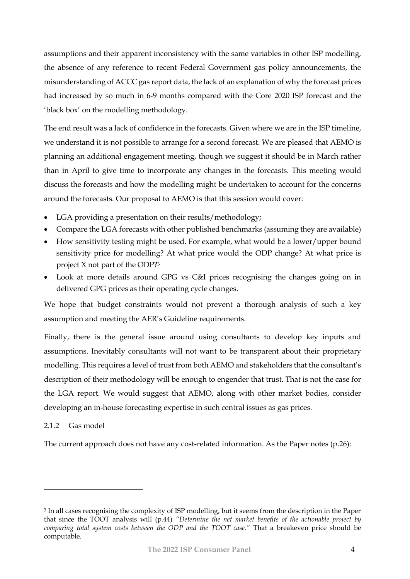assumptions and their apparent inconsistency with the same variables in other ISP modelling, the absence of any reference to recent Federal Government gas policy announcements, the misunderstanding of ACCC gas report data, the lack of an explanation of why the forecast prices had increased by so much in 6-9 months compared with the Core 2020 ISP forecast and the 'black box' on the modelling methodology.

The end result was a lack of confidence in the forecasts. Given where we are in the ISP timeline, we understand it is not possible to arrange for a second forecast. We are pleased that AEMO is planning an additional engagement meeting, though we suggest it should be in March rather than in April to give time to incorporate any changes in the forecasts. This meeting would discuss the forecasts and how the modelling might be undertaken to account for the concerns around the forecasts. Our proposal to AEMO is that this session would cover:

- LGA providing a presentation on their results/methodology;
- Compare the LGA forecasts with other published benchmarks (assuming they are available)
- How sensitivity testing might be used. For example, what would be a lower/upper bound sensitivity price for modelling? At what price would the ODP change? At what price is project X not part of the ODP?<sup>3</sup>
- Look at more details around GPG vs C&I prices recognising the changes going on in delivered GPG prices as their operating cycle changes.

We hope that budget constraints would not prevent a thorough analysis of such a key assumption and meeting the AER's Guideline requirements.

Finally, there is the general issue around using consultants to develop key inputs and assumptions. Inevitably consultants will not want to be transparent about their proprietary modelling. This requires a level of trust from both AEMO and stakeholders that the consultant's description of their methodology will be enough to engender that trust. That is not the case for the LGA report. We would suggest that AEMO, along with other market bodies, consider developing an in-house forecasting expertise in such central issues as gas prices.

#### <span id="page-3-0"></span>2.1.2 Gas model

The current approach does not have any cost-related information. As the Paper notes (p.26):

<sup>3</sup> In all cases recognising the complexity of ISP modelling, but it seems from the description in the Paper that since the TOOT analysis will (p.44) *"Determine the net market benefits of the actionable project by comparing total system costs between the ODP and the TOOT case."* That a breakeven price should be computable.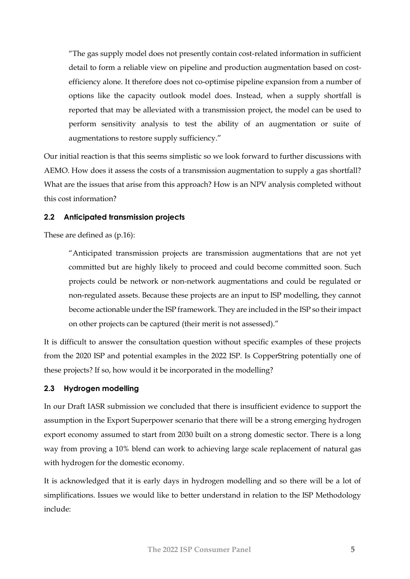"The gas supply model does not presently contain cost-related information in sufficient detail to form a reliable view on pipeline and production augmentation based on costefficiency alone. It therefore does not co-optimise pipeline expansion from a number of options like the capacity outlook model does. Instead, when a supply shortfall is reported that may be alleviated with a transmission project, the model can be used to perform sensitivity analysis to test the ability of an augmentation or suite of augmentations to restore supply sufficiency."

Our initial reaction is that this seems simplistic so we look forward to further discussions with AEMO. How does it assess the costs of a transmission augmentation to supply a gas shortfall? What are the issues that arise from this approach? How is an NPV analysis completed without this cost information?

#### <span id="page-4-0"></span>**2.2 Anticipated transmission projects**

These are defined as (p.16):

"Anticipated transmission projects are transmission augmentations that are not yet committed but are highly likely to proceed and could become committed soon. Such projects could be network or non-network augmentations and could be regulated or non-regulated assets. Because these projects are an input to ISP modelling, they cannot become actionable under the ISP framework. They are included in the ISP so their impact on other projects can be captured (their merit is not assessed)."

It is difficult to answer the consultation question without specific examples of these projects from the 2020 ISP and potential examples in the 2022 ISP. Is CopperString potentially one of these projects? If so, how would it be incorporated in the modelling?

#### <span id="page-4-1"></span>**2.3 Hydrogen modelling**

In our Draft IASR submission we concluded that there is insufficient evidence to support the assumption in the Export Superpower scenario that there will be a strong emerging hydrogen export economy assumed to start from 2030 built on a strong domestic sector. There is a long way from proving a 10% blend can work to achieving large scale replacement of natural gas with hydrogen for the domestic economy.

It is acknowledged that it is early days in hydrogen modelling and so there will be a lot of simplifications. Issues we would like to better understand in relation to the ISP Methodology include: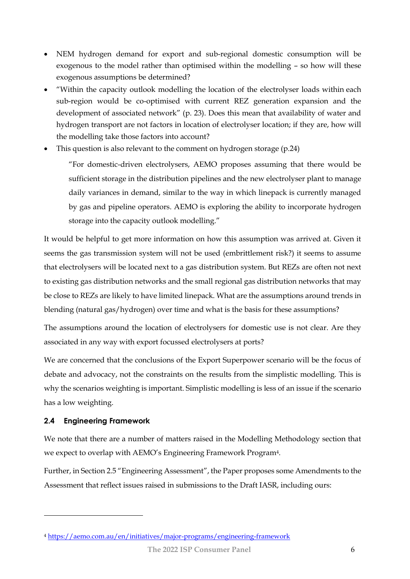- NEM hydrogen demand for export and sub-regional domestic consumption will be exogenous to the model rather than optimised within the modelling – so how will these exogenous assumptions be determined?
- "Within the capacity outlook modelling the location of the electrolyser loads within each sub-region would be co-optimised with current REZ generation expansion and the development of associated network" (p. 23). Does this mean that availability of water and hydrogen transport are not factors in location of electrolyser location; if they are, how will the modelling take those factors into account?
- This question is also relevant to the comment on hydrogen storage (p.24)

"For domestic-driven electrolysers, AEMO proposes assuming that there would be sufficient storage in the distribution pipelines and the new electrolyser plant to manage daily variances in demand, similar to the way in which linepack is currently managed by gas and pipeline operators. AEMO is exploring the ability to incorporate hydrogen storage into the capacity outlook modelling."

It would be helpful to get more information on how this assumption was arrived at. Given it seems the gas transmission system will not be used (embrittlement risk?) it seems to assume that electrolysers will be located next to a gas distribution system. But REZs are often not next to existing gas distribution networks and the small regional gas distribution networks that may be close to REZs are likely to have limited linepack. What are the assumptions around trends in blending (natural gas/hydrogen) over time and what is the basis for these assumptions?

The assumptions around the location of electrolysers for domestic use is not clear. Are they associated in any way with export focussed electrolysers at ports?

We are concerned that the conclusions of the Export Superpower scenario will be the focus of debate and advocacy, not the constraints on the results from the simplistic modelling. This is why the scenarios weighting is important. Simplistic modelling is less of an issue if the scenario has a low weighting.

#### <span id="page-5-0"></span>**2.4 Engineering Framework**

We note that there are a number of matters raised in the Modelling Methodology section that we expect to overlap with AEMO's Engineering Framework Program4.

Further, in Section 2.5 "Engineering Assessment", the Paper proposes some Amendments to the Assessment that reflect issues raised in submissions to the Draft IASR, including ours:

<sup>4</sup> <https://aemo.com.au/en/initiatives/major-programs/engineering-framework>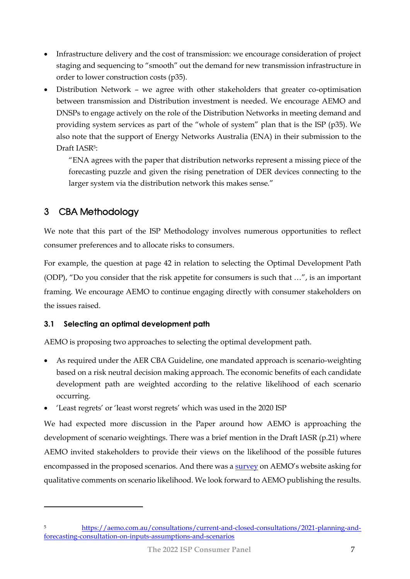- Infrastructure delivery and the cost of transmission: we encourage consideration of project staging and sequencing to "smooth" out the demand for new transmission infrastructure in order to lower construction costs (p35).
- Distribution Network we agree with other stakeholders that greater co-optimisation between transmission and Distribution investment is needed. We encourage AEMO and DNSPs to engage actively on the role of the Distribution Networks in meeting demand and providing system services as part of the "whole of system" plan that is the ISP (p35). We also note that the support of Energy Networks Australia (ENA) in their submission to the Draft IASR5:

"ENA agrees with the paper that distribution networks represent a missing piece of the forecasting puzzle and given the rising penetration of DER devices connecting to the larger system via the distribution network this makes sense."

## <span id="page-6-0"></span>3 CBA Methodology

We note that this part of the ISP Methodology involves numerous opportunities to reflect consumer preferences and to allocate risks to consumers.

For example, the question at page 42 in relation to selecting the Optimal Development Path (ODP), "Do you consider that the risk appetite for consumers is such that …", is an important framing. We encourage AEMO to continue engaging directly with consumer stakeholders on the issues raised.

### <span id="page-6-1"></span>**3.1 Selecting an optimal development path**

AEMO is proposing two approaches to selecting the optimal development path.

- As required under the AER CBA Guideline, one mandated approach is scenario-weighting based on a risk neutral decision making approach. The economic benefits of each candidate development path are weighted according to the relative likelihood of each scenario occurring.
- 'Least regrets' or 'least worst regrets' which was used in the 2020 ISP

We had expected more discussion in the Paper around how AEMO is approaching the development of scenario weightings. There was a brief mention in the Draft IASR (p.21) where AEMO invited stakeholders to provide their views on the likelihood of the possible futures encompassed in the proposed scenarios. And there was [a survey](https://aemo.com.au/consultations/current-and-closed-consultations/2021-planning-and-forecasting-consultation-on-inputs-assumptions-and-scenarios) on AEMO's website asking for qualitative comments on scenario likelihood. We look forward to AEMO publishing the results.

<sup>5</sup> [https://aemo.com.au/consultations/current-and-closed-consultations/2021-planning-and](https://aemo.com.au/consultations/current-and-closed-consultations/2021-planning-and-forecasting-consultation-on-inputs-assumptions-and-scenarios)[forecasting-consultation-on-inputs-assumptions-and-scenarios](https://aemo.com.au/consultations/current-and-closed-consultations/2021-planning-and-forecasting-consultation-on-inputs-assumptions-and-scenarios)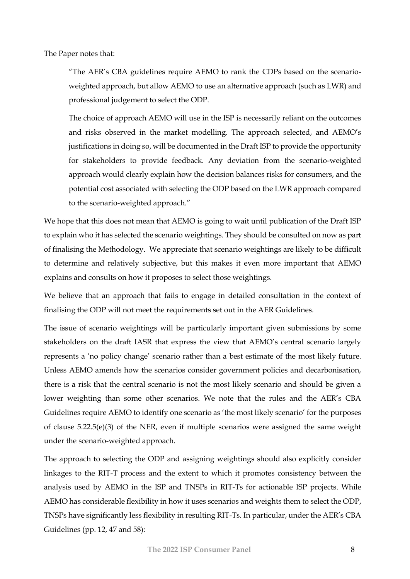The Paper notes that:

"The AER's CBA guidelines require AEMO to rank the CDPs based on the scenarioweighted approach, but allow AEMO to use an alternative approach (such as LWR) and professional judgement to select the ODP.

The choice of approach AEMO will use in the ISP is necessarily reliant on the outcomes and risks observed in the market modelling. The approach selected, and AEMO's justifications in doing so, will be documented in the Draft ISP to provide the opportunity for stakeholders to provide feedback. Any deviation from the scenario-weighted approach would clearly explain how the decision balances risks for consumers, and the potential cost associated with selecting the ODP based on the LWR approach compared to the scenario-weighted approach."

We hope that this does not mean that AEMO is going to wait until publication of the Draft ISP to explain who it has selected the scenario weightings. They should be consulted on now as part of finalising the Methodology. We appreciate that scenario weightings are likely to be difficult to determine and relatively subjective, but this makes it even more important that AEMO explains and consults on how it proposes to select those weightings.

We believe that an approach that fails to engage in detailed consultation in the context of finalising the ODP will not meet the requirements set out in the AER Guidelines.

The issue of scenario weightings will be particularly important given submissions by some stakeholders on the draft IASR that express the view that AEMO's central scenario largely represents a 'no policy change' scenario rather than a best estimate of the most likely future. Unless AEMO amends how the scenarios consider government policies and decarbonisation, there is a risk that the central scenario is not the most likely scenario and should be given a lower weighting than some other scenarios. We note that the rules and the AER's CBA Guidelines require AEMO to identify one scenario as 'the most likely scenario' for the purposes of clause 5.22.5(e)(3) of the NER, even if multiple scenarios were assigned the same weight under the scenario-weighted approach.

The approach to selecting the ODP and assigning weightings should also explicitly consider linkages to the RIT-T process and the extent to which it promotes consistency between the analysis used by AEMO in the ISP and TNSPs in RIT-Ts for actionable ISP projects. While AEMO has considerable flexibility in how it uses scenarios and weights them to select the ODP, TNSPs have significantly less flexibility in resulting RIT-Ts. In particular, under the AER's CBA Guidelines (pp. 12, 47 and 58):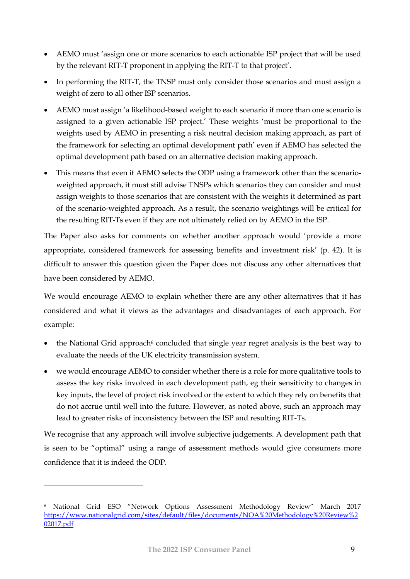- AEMO must 'assign one or more scenarios to each actionable ISP project that will be used by the relevant RIT-T proponent in applying the RIT-T to that project'.
- In performing the RIT-T, the TNSP must only consider those scenarios and must assign a weight of zero to all other ISP scenarios.
- AEMO must assign 'a likelihood-based weight to each scenario if more than one scenario is assigned to a given actionable ISP project.' These weights 'must be proportional to the weights used by AEMO in presenting a risk neutral decision making approach, as part of the framework for selecting an optimal development path' even if AEMO has selected the optimal development path based on an alternative decision making approach.
- This means that even if AEMO selects the ODP using a framework other than the scenarioweighted approach, it must still advise TNSPs which scenarios they can consider and must assign weights to those scenarios that are consistent with the weights it determined as part of the scenario-weighted approach. As a result, the scenario weightings will be critical for the resulting RIT-Ts even if they are not ultimately relied on by AEMO in the ISP.

The Paper also asks for comments on whether another approach would 'provide a more appropriate, considered framework for assessing benefits and investment risk' (p. 42). It is difficult to answer this question given the Paper does not discuss any other alternatives that have been considered by AEMO.

We would encourage AEMO to explain whether there are any other alternatives that it has considered and what it views as the advantages and disadvantages of each approach. For example:

- the National Grid approach<sup>6</sup> concluded that single year regret analysis is the best way to evaluate the needs of the UK electricity transmission system.
- we would encourage AEMO to consider whether there is a role for more qualitative tools to assess the key risks involved in each development path, eg their sensitivity to changes in key inputs, the level of project risk involved or the extent to which they rely on benefits that do not accrue until well into the future. However, as noted above, such an approach may lead to greater risks of inconsistency between the ISP and resulting RIT-Ts.

We recognise that any approach will involve subjective judgements. A development path that is seen to be "optimal" using a range of assessment methods would give consumers more confidence that it is indeed the ODP.

<sup>6</sup> National Grid ESO "Network Options Assessment Methodology Review" March 2017 [https://www.nationalgrid.com/sites/default/files/documents/NOA%20Methodology%20Review%2](https://www.nationalgrid.com/sites/default/files/documents/NOA%20Methodology%20Review%202017.pdf) [02017.pdf](https://www.nationalgrid.com/sites/default/files/documents/NOA%20Methodology%20Review%202017.pdf)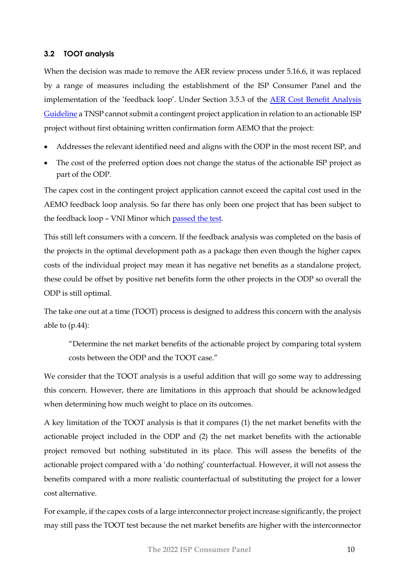#### <span id="page-9-0"></span>**3.2 TOOT analysis**

When the decision was made to remove the AER review process under 5.16.6, it was replaced by a range of measures including the establishment of the ISP Consumer Panel and the implementation of the 'feedback loop'. Under Section 3.5.3 of the AER Cost Benefit Analysis [Guideline](https://www.aer.gov.au/system/files/AER%20-%20Cost%20benefit%20analysis%20guidelines%20-%2025%20August%202020.pdf) a TNSP cannot submit a contingent project application in relation to an actionable ISP project without first obtaining written confirmation form AEMO that the project:

- Addresses the relevant identified need and aligns with the ODP in the most recent ISP, and
- The cost of the preferred option does not change the status of the actionable ISP project as part of the ODP.

The capex cost in the contingent project application cannot exceed the capital cost used in the AEMO feedback loop analysis. So far there has only been one project that has been subject to the feedback loop – VNI Minor which [passed the test.](https://www.aer.gov.au/system/files/AER%20-%20Cost%20benefit%20analysis%20guidelines%20-%2025%20August%202020.pdf)

This still left consumers with a concern. If the feedback analysis was completed on the basis of the projects in the optimal development path as a package then even though the higher capex costs of the individual project may mean it has negative net benefits as a standalone project, these could be offset by positive net benefits form the other projects in the ODP so overall the ODP is still optimal.

The take one out at a time (TOOT) process is designed to address this concern with the analysis able to  $(p.44)$ :

"Determine the net market benefits of the actionable project by comparing total system costs between the ODP and the TOOT case."

We consider that the TOOT analysis is a useful addition that will go some way to addressing this concern. However, there are limitations in this approach that should be acknowledged when determining how much weight to place on its outcomes.

A key limitation of the TOOT analysis is that it compares (1) the net market benefits with the actionable project included in the ODP and (2) the net market benefits with the actionable project removed but nothing substituted in its place. This will assess the benefits of the actionable project compared with a 'do nothing' counterfactual. However, it will not assess the benefits compared with a more realistic counterfactual of substituting the project for a lower cost alternative.

For example, if the capex costs of a large interconnector project increase significantly, the project may still pass the TOOT test because the net market benefits are higher with the interconnector